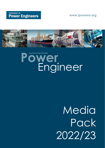#### **www.ipowere.org**



# **Power** Engineer Journal of the IPowerE

# Media Pack 2022/23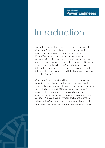# Introduction

As the leading technical journal for the power industry, *Power Engineer* is read by engineers, technologists, managers, graduates and students who share the IPowerE's passion for innovation and technological advances in design and operation of gas turbines and reciprocating engines that meet the demands of industry today. Our members turn to *Power Engineer* for an informative, interesting and thought-provoking insight into industry developments and latest news and updates from the IPowerE.

*Power Engineer* is published four times each year and provides a mix of news, features, interviews, in-depth technical papers and industry information. *Power Engineer's* controlled circulation is 100% requested by name. The majority of our members are qualified engineers responsible for purchasing and specifying products and services. We also have a number of student members who use the *Power Engineer* as an essential source of technical information covering a wide range of topics.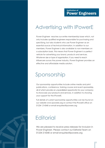### Advertising with IPowerE

*Power Engineer* reaches our entire membership base which, not only includes qualified engineers responsible for purchasing and specifying, but also students who use *Power Engineer* as an essential source of technical information. In addition to our members, *Power Engineer* is also available to non-members on a subscription basis. This means that *Power Engineer* is a perfect vehicle for advertising your brand, products and services. Whatever size or type of organisation, if you need to reach influencers across the power industry, *Power Engineer* provides an effective and affordable media solution.

### Sponsorship

Our sponsorship opportunities include online media and print publications, conference, training course and event sponsorship, all of which provide an unparalleled opportunity for your company to showcase your products and services, in addition to showing your support for the IPowerE.

Full details of current sponsorship opportunities can be found on our website www.ipowere.org or contact the IPowerE office on 01234 214340 or email enquiries@ipowere.org

### **Editorial**

We are pleased to receive press releases for inclusion in *Power Engineer*. Please contact our Editorial Team on 01234 214340 or email enquiries@ipowere.org

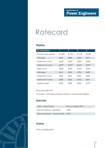#### **Institution of Power Engineers**

# Ratecard

#### **Display**

| No of insertions   |          | $\mathbf{2}$ | 3        | 4        |
|--------------------|----------|--------------|----------|----------|
| Double page spread | £1,205   | £1155        | £1100    | £1030    |
| Full page          | £605     | £580         | £550     | £515     |
| Inside front cover | £755 $*$ | £720 $*$     | £685 $*$ | £650 $*$ |
| Inside back cover  | £695 $*$ | £660 $*$     | £625 $*$ | $£590*$  |
| <b>Back cover</b>  | £820*    | $£760*$      | £735 $*$ | $£700*$  |
| Half page          | £410     | £390         | £370     | £350     |
| Inside front cover | £540     | £520         | £490     | £460     |
| Inside back cover  | £480     | £460         | £430     | £410     |
| Quarter page       | £235     | £220         | £205     | £195     |

#### Prices excludes VAT

\*Includes a 100 word company profile on the IPowerE website

#### **Specials**

| Insert - loose/bound                   | Price on application |
|----------------------------------------|----------------------|
| Special positions - specified          | $+30\%$              |
| Special positions - facing matter +20% |                      |

#### **Online**

Price on application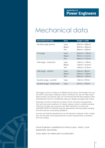# Mechanical data

| <b>Advertisement type</b> | Area                                | Height x width                                        |
|---------------------------|-------------------------------------|-------------------------------------------------------|
| Double page spread        | <b>Type</b><br>Bleed<br>Trim        | 254mm x 386mm<br>292mm x 426mm<br>286mm x 420mm       |
| Full page                 | <b>Type</b><br><b>Bleed</b><br>Trim | 254mm x 178mm<br>$292$ mm x $216$ mm<br>286mm x 210mm |
| Half page - horizontal    | <b>Type</b><br>Bleed<br>Trim        | 124mm x 178mm<br>143mm x 216mm<br>140mm x 210mm       |
| Half page - vertical      | <b>Type</b><br><b>Bleed</b><br>Trim | $254$ mm x 86mm<br>292mm x 103mm<br>286mm x 100mm     |
| Quarter page - portrait   | <b>Type</b>                         | $124$ mm x 90mm                                       |
| Quarter page - landscape  | <b>Type</b>                         | 60mm x 178mm                                          |

All images must be a minimum of 300dpi and all colours and images must use the CMYK colour spec. RGB/Lab colours, Pantones, etc are not valid colour specs for print. Any picture, logo, etc must be the size that they appear on the advertisement and not compressed using your design package scale routine.

Although we hold an extensive number of fonts, this does not guarantee that we have every typeface. If in doubt, please contact us before sending a file that contains any unusual or not often used fonts; or to be sure, CONVERT FONTS TO OUTLINE using the appropriate software before sending. This will avoid any unnecessary problems.

If we do not hold the required font we will attempt to replace it with a similar font, but IPowerE cannot guarantee the correct reproduction of all texts if fonts are missing.

*Power Engineer* is published four times a year - March, June, September, December.

Copy date is six weeks prior to publication.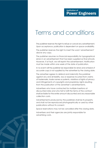## Terms and conditions

The publisher reserves the right to refuse or cancel any advertisement. Upon acceptance, publication is dependent on space availability.

The publisher reserves the right to insert the word 'advertisement' above any copy.

The publisher assumes no financial responsibility for typographical errors in an advertisement that has been supplied as final artwork. However, if at fault, we will reprint the advertisement. Notification must be made within one week of the date of publication.

In no event will the publisher be responsible for errors and omissions if accurate copy is not supplied by the advertiser by the closing date.

The advertiser agrees to defend and indemnify the publisher against any and all liability, loss or expense incurred from claims of trademarks, trade names or patents, violations of rights of privacy and infringements of copyrights and proprietary rights resulting from the publication of the advertiser's advertisements.

Advertisers who have contracted for multiple insertions at discounted rates and who fail to fulfil the terms of the contract shall be liable for the entire amount discounted and any reasonable collection costs.

Advertisements produced by the publishers shall be its property and shall not be reproduced photographically or used by other publications without its consent.

Space reservations may not be cancelled after the closing date.

Advertisers and their agencies are jointly responsible for advertising costs.